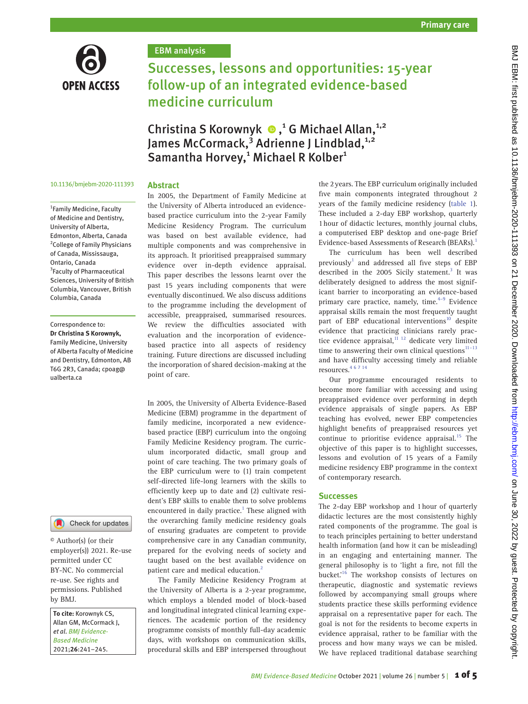

### EBM analysis

# Successes, lessons and opportunities: 15-year follow-up of an integrated evidence-based medicine curriculum

Christina S Korownyk <sup>®</sup>,<sup>1</sup> G Michael Allan,<sup>1,2</sup> James McCormack,<sup>3</sup> Adrienne J Lindblad,<sup>1,2</sup> Samantha Horvey,<sup>1</sup> Michael R Kolber<sup>1</sup>

#### 10.1136/bmjebm-2020-111393

## **Abstract**

1 Family Medicine, Faculty of Medicine and Dentistry, University of Alberta, Edmonton, Alberta, Canada <sup>2</sup> College of Family Physicians of Canada, Mississauga, Ontario, Canada <sup>3</sup> Faculty of Pharmaceutical Sciences, University of British Columbia, Vancouver, British Columbia, Canada

Correspondence to: *Dr Christina S Korownyk,* Family Medicine, University of Alberta Faculty of Medicine and Dentistry, Edmonton, AB T6G 2R3, Canada; cpoag@ ualberta.ca



© Author(s) (or their employer(s)) 2021. Re-use permitted under CC BY-NC. No commercial re-use. See rights and permissions. Published by BMJ.

*To cite:* Korownyk CS, Allan GM, McCormack J, *et al*. *BMJ Evidence-Based Medicine* 2021;*26*:241–245.

In 2005, the Department of Family Medicine at the University of Alberta introduced an evidencebased practice curriculum into the 2-year Family Medicine Residency Program. The curriculum was based on best available evidence, had multiple components and was comprehensive in its approach. It prioritised preappraised summary evidence over in-depth evidence appraisal. This paper describes the lessons learnt over the past 15 years including components that were eventually discontinued. We also discuss additions to the programme including the development of accessible, preappraised, summarised resources. We review the difficulties associated with evaluation and the incorporation of evidencebased practice into all aspects of residency training. Future directions are discussed including the incorporation of shared decision-making at the point of care.

In 2005, the University of Alberta Evidence-Based Medicine (EBM) programme in the department of family medicine, incorporated a new evidencebased practice (EBP) curriculum into the ongoing Family Medicine Residency program. The curriculum incorporated didactic, small group and point of care teaching. The two primary goals of the EBP curriculum were to (1) train competent self-directed life-long learners with the skills to efficiently keep up to date and (2) cultivate resident's EBP skills to enable them to solve problems encountered in daily practice.<sup>[1](#page-3-0)</sup> These aligned with the overarching family medicine residency goals of ensuring graduates are competent to provide comprehensive care in any Canadian community, prepared for the evolving needs of society and taught based on the best available evidence on patient care and medical education.<sup>[2](#page-3-1)</sup>

The Family Medicine Residency Program at the University of Alberta is a 2-year programme, which employs a blended model of block-based and longitudinal integrated clinical learning experiences. The academic portion of the residency programme consists of monthly full-day academic days, with workshops on communication skills, procedural skills and EBP interspersed throughout

the 2years. The EBP curriculum originally included five main components integrated throughout 2 years of the family medicine residency ([table 1](#page-1-0)). These included a 2-day EBP workshop, quarterly 1hour of didactic lectures, monthly journal clubs, a computerised EBP desktop and one-page Brief Evidence-based Assessments of Research (BEARs).<sup>[1](#page-3-0)</sup>

The curriculum has been well described previously $^1$  $^1$  and addressed all five steps of EBP described in the 2005 Sicily statement.<sup>[3](#page-3-2)</sup> It was deliberately designed to address the most significant barrier to incorporating an evidence-based primary care practice, namely, time. $4-9$  Evidence appraisal skills remain the most frequently taught part of EBP educational interventions<sup>10</sup> despite evidence that practicing clinicians rarely practice evidence appraisal, $11$   $12$  dedicate very limited time to answering their own clinical questions $11-13$ and have difficulty accessing timely and reliable resources.[4 6 7 14](#page-4-0)

Our programme encouraged residents to become more familiar with accessing and using preappraised evidence over performing in depth evidence appraisals of single papers. As EBP teaching has evolved, newer EBP competencies highlight benefits of preappraised resources yet continue to prioritise evidence appraisal.<sup>15</sup> The objective of this paper is to highlight successes, lessons and evolution of 15 years of a Family medicine residency EBP programme in the context of contemporary research.

#### **Successes**

The 2-day EBP workshop and 1hour of quarterly didactic lectures are the most consistently highly rated components of the programme. The goal is to teach principles pertaining to better understand health information (and how it can be misleading) in an engaging and entertaining manner. The general philosophy is to 'light a fire, not fill the bucket.'[16](#page-4-4) The workshop consists of lectures on therapeutic, diagnostic and systematic reviews followed by accompanying small groups where students practice these skills performing evidence appraisal on a representative paper for each. The goal is not for the residents to become experts in evidence appraisal, rather to be familiar with the process and how many ways we can be misled. We have replaced traditional database searching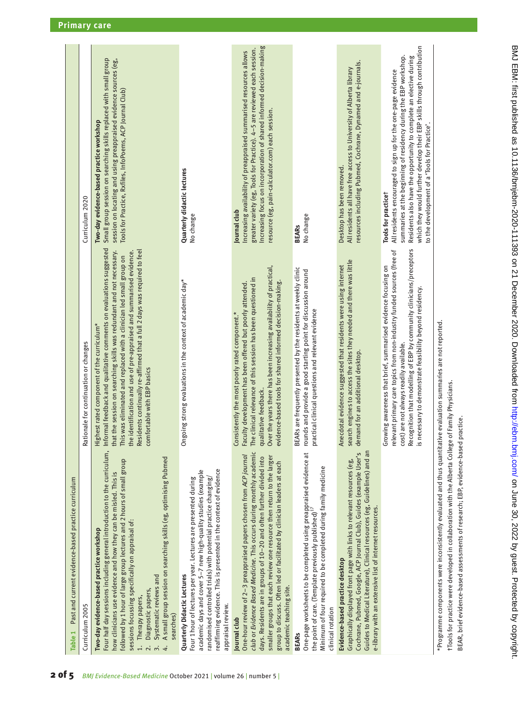<span id="page-1-0"></span>

| Past and current evidence-based practice curriculum<br>Table 1                                                                                                                                                                                                                                                                                                                                                                                                                                           |                                                                                                                                                                                                                                                                                                                                                                                                                                                        |                                                                                                                                                                                                                                                                                                                                                                  |
|----------------------------------------------------------------------------------------------------------------------------------------------------------------------------------------------------------------------------------------------------------------------------------------------------------------------------------------------------------------------------------------------------------------------------------------------------------------------------------------------------------|--------------------------------------------------------------------------------------------------------------------------------------------------------------------------------------------------------------------------------------------------------------------------------------------------------------------------------------------------------------------------------------------------------------------------------------------------------|------------------------------------------------------------------------------------------------------------------------------------------------------------------------------------------------------------------------------------------------------------------------------------------------------------------------------------------------------------------|
| Curriculum 2005                                                                                                                                                                                                                                                                                                                                                                                                                                                                                          | Rationale for continuation or changes                                                                                                                                                                                                                                                                                                                                                                                                                  | Curriculum 2020                                                                                                                                                                                                                                                                                                                                                  |
| Four half day sessions including general introduction to the curriculum,<br>A small group session on searching skills (eg, optimising Pubmed<br>followed by 1 hour of large group lectures and 2 hours of small group<br>how clinicians use evidence and how they can be misled. This is<br>sessions focussing specifically on appraisal of:<br>Two-day evidence-based practice workshop<br>Systematic reviews and<br>Diagnostic papers,<br>Therapy papers,<br>searches)<br>$\overline{c}$<br>$\ddot{ }$ | Informal feedback and qualitative comments on evaluations suggested<br>Residents continually re-affirmed that a full 2 days was required to feel<br>that the session on searching skills was redundant and not necessary.<br>the identification and use of pre-appraised and summarised evidence.<br>This was eliminated and replaced with a clinician led small group on<br>Highest rated component of the curriculum*<br>comfortable with EBP basics | Small group session on searching skills replaced with small group<br>session on locating and using preappraised evidence sources (eg,<br>Tools for Practice, Rxfiles, InfoPoems, ACP Journal Club)<br>Two-day evidence-based practice workshop                                                                                                                   |
| reaffirming evidence. This is presented in the context of evidence<br>academic days and cover 5-7 new high-quality studies (example<br>randomised controlled trials) with potential practice changing/<br>Four 1 hour of lectures per year. Lectures are presented during<br>Quarterly Didactic Lectures<br>appraisal review.                                                                                                                                                                            | Ongoing strong evaluations in the context of academic day*                                                                                                                                                                                                                                                                                                                                                                                             | Quarterly didactic lectures<br>No change                                                                                                                                                                                                                                                                                                                         |
| club or Evidence Based Medicine. This occurs during monthly academic<br>One-hour review of 2-3 preappraised papers chosen from ACP journal<br>smaller groups that each review one resource then return to the larger<br>days. Residents are in groups of 10-20 and often further divided into<br>group to discuss. Often led or facilitated by clinician leaders at each<br>academic teaching site.<br>Journal club                                                                                      | Over the years there has been increasing availability of practical,<br>The clinical relevance of this session has been questioned in<br>evidence-based tools for shared informed decision-making.<br>Faculty development has been offered but poorly attended.<br>Consistently the most poorly rated component.*<br>qualitative feedback.                                                                                                              | Increasing focus on incorporation of shared informed decision-making<br>greater variety (eg, Tools for Practice). 4-5 are reviewed each session.<br>Increasing availability of preappraised summarised resources allows<br>resource (eg, pain-calculator.com) each session.<br>Journal club                                                                      |
| One-page worksheets to be completed using preappraised evidence at<br>Minimum of four required to be completed during family medicine<br>the point of care. (Template previously published) <sup>17</sup><br>clinical rotation<br><b>BEARS</b>                                                                                                                                                                                                                                                           | BEARs are frequently presented by the residents at weekly clinic<br>rounds and provide a good starting point for discussion around<br>practical clinical questions and relevant evidence                                                                                                                                                                                                                                                               | No change<br><b>BEARs</b>                                                                                                                                                                                                                                                                                                                                        |
| Guides to Medical Literature), Clinical resources (eg, Guidelines) and an<br>Cochrane, Pubmed, Google, ACP Journal Club), Guides (example User's<br>Graphically displayed front page with links to relevant resources (eg,<br>e-library with an extensive list of internet resources.<br>Evidence-based practice desktop                                                                                                                                                                                 | search engines to access the sites they needed and there was little<br>Anecdotal evidence suggested that residents were using internet<br>demand for an additional desktop.                                                                                                                                                                                                                                                                            | resources including Pubmed, Cochrane, Dynamed and e-journals.<br>All residents all have free access to University of Alberta library<br>Desktop has been removed.                                                                                                                                                                                                |
|                                                                                                                                                                                                                                                                                                                                                                                                                                                                                                          | Recognition that modelling of EBP by community clinicians/preceptors<br>is necessary to demonstrate feasibility beyond residency.<br>levant primary care topics from non-industry funded sources (free of<br>Growing awareness that brief, summarised evidence focusing on<br>cost) are not always readily available.<br>ē                                                                                                                             | which they would further develop their EBP skills through contribution<br>summaries at the beginning of residency during the EBP workshop.<br>Residents also have the opportunity to complete an elective during<br>All residents encouraged to sign up for the one-page evidence<br>to the development of a 'Tools for Practice'.<br><b>Tools for practicet</b> |
| *Programme components were inconsistently evaluated and thus quantitative evaluation summaries are not reported.<br>tTools for practice were developed in collaboration with the Alberta College of Family Physicians.<br>BEAR, brief evidence-based assessments of research; EBP, evidence-based practice.                                                                                                                                                                                              |                                                                                                                                                                                                                                                                                                                                                                                                                                                        |                                                                                                                                                                                                                                                                                                                                                                  |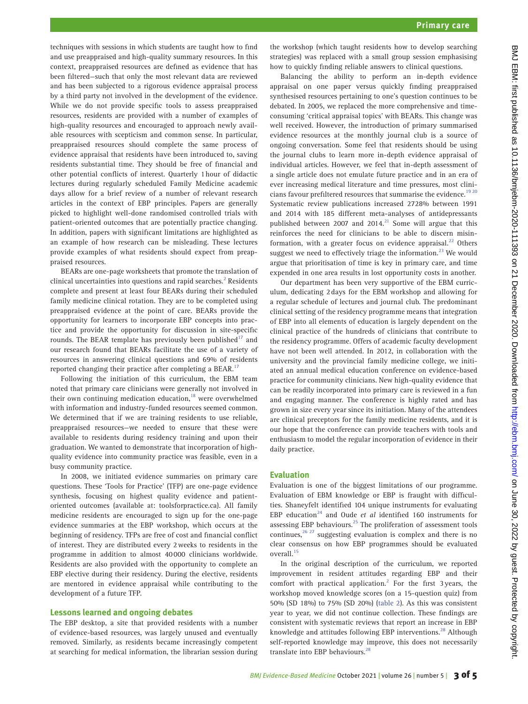techniques with sessions in which students are taught how to find and use preappraised and high-quality summary resources. In this context, preappraised resources are defined as evidence that has been filtered—such that only the most relevant data are reviewed and has been subjected to a rigorous evidence appraisal process by a third party not involved in the development of the evidence. While we do not provide specific tools to assess preappraised resources, residents are provided with a number of examples of high-quality resources and encouraged to approach newly available resources with scepticism and common sense. In particular, preappraised resources should complete the same process of evidence appraisal that residents have been introduced to, saving residents substantial time. They should be free of financial and other potential conflicts of interest. Quarterly 1hour of didactic lectures during regularly scheduled Family Medicine academic days allow for a brief review of a number of relevant research articles in the context of EBP principles. Papers are generally picked to highlight well-done randomised controlled trials with patient-oriented outcomes that are potentially practice changing. In addition, papers with significant limitations are highlighted as an example of how research can be misleading. These lectures provide examples of what residents should expect from preappraised resources.

BEARs are one-page worksheets that promote the translation of clinical uncertainties into questions and rapid searches. $2$  Residents complete and present at least four BEARs during their scheduled family medicine clinical rotation. They are to be completed using preappraised evidence at the point of care. BEARs provide the opportunity for learners to incorporate EBP concepts into practice and provide the opportunity for discussion in site-specific rounds. The BEAR template has previously been published $17$  and our research found that BEARs facilitate the use of a variety of resources in answering clinical questions and 69% of residents reported changing their practice after completing a BEAR.<sup>[17](#page-4-5)</sup>

Following the initiation of this curriculum, the EBM team noted that primary care clinicians were generally not involved in their own continuing medication education, $18$  were overwhelmed with information and industry-funded resources seemed common. We determined that if we are training residents to use reliable, preappraised resources—we needed to ensure that these were available to residents during residency training and upon their graduation. We wanted to demonstrate that incorporation of highquality evidence into community practice was feasible, even in a busy community practice.

In 2008, we initiated evidence summaries on primary care questions. These 'Tools for Practice' (TFP) are one-page evidence synthesis, focusing on highest quality evidence and patientoriented outcomes (available at: toolsforpractice.ca). All family medicine residents are encouraged to sign up for the one-page evidence summaries at the EBP workshop, which occurs at the beginning of residency. TFPs are free of cost and financial conflict of interest. They are distributed every 2weeks to residents in the programme in addition to almost 40000 clinicians worldwide. Residents are also provided with the opportunity to complete an EBP elective during their residency. During the elective, residents are mentored in evidence appraisal while contributing to the development of a future TFP.

#### **Lessons learned and ongoing debates**

The EBP desktop, a site that provided residents with a number of evidence-based resources, was largely unused and eventually removed. Similarly, as residents became increasingly competent at searching for medical information, the librarian session during

the workshop (which taught residents how to develop searching strategies) was replaced with a small group session emphasising how to quickly finding reliable answers to clinical questions.

Balancing the ability to perform an in-depth evidence appraisal on one paper versus quickly finding preappraised synthesised resources pertaining to one's question continues to be debated. In 2005, we replaced the more comprehensive and timeconsuming 'critical appraisal topics' with BEARs. This change was well received. However, the introduction of primary summarised evidence resources at the monthly journal club is a source of ongoing conversation. Some feel that residents should be using the journal clubs to learn more in-depth evidence appraisal of individual articles. However, we feel that in-depth assessment of a single article does not emulate future practice and in an era of ever increasing medical literature and time pressures, most clini-cians favour prefiltered resources that summarise the evidence.<sup>[19 20](#page-4-7)</sup> Systematic review publications increased 2728% between 1991 and 2014 with 185 different meta-analyses of antidepressants published between 2007 and 2014.<sup>[21](#page-4-8)</sup> Some will argue that this reinforces the need for clinicians to be able to discern misin-formation, with a greater focus on evidence appraisal.<sup>[22](#page-4-9)</sup> Others suggest we need to effectively triage the information.<sup>23</sup> We would argue that prioritisation of time is key in primary care, and time expended in one area results in lost opportunity costs in another.

Our department has been very supportive of the EBM curriculum, dedicating 2days for the EBM workshop and allowing for a regular schedule of lectures and journal club. The predominant clinical setting of the residency programme means that integration of EBP into all elements of education is largely dependent on the clinical practice of the hundreds of clinicians that contribute to the residency programme. Offers of academic faculty development have not been well attended. In 2012, in collaboration with the university and the provincial family medicine college, we initiated an annual medical education conference on evidence-based practice for community clinicians. New high-quality evidence that can be readily incorporated into primary care is reviewed in a fun and engaging manner. The conference is highly rated and has grown in size every year since its initiation. Many of the attendees are clinical preceptors for the family medicine residents, and it is our hope that the conference can provide teachers with tools and enthusiasm to model the regular incorporation of evidence in their daily practice.

#### **Evaluation**

Evaluation is one of the biggest limitations of our programme. Evaluation of EBM knowledge or EBP is fraught with difficulties. Shaneyfelt identified 104 unique instruments for evaluating EBP education<sup>24</sup> and Oude *et al* identified 160 instruments for assessing EBP behaviours.<sup>25</sup> The proliferation of assessment tools continues, $26 27$  suggesting evaluation is complex and there is no clear consensus on how EBP programmes should be evaluated overall.<sup>[15](#page-4-3)</sup>

In the original description of the curriculum, we reported improvement in resident attitudes regarding EBP and their comfort with practical application.<sup>[2](#page-3-1)</sup> For the first 3 years, the workshop moved knowledge scores (on a 15-question quiz) from 50% (SD 18%) to 75% (SD 20%) ([table 2](#page-3-3)). As this was consistent year to year, we did not continue collection. These findings are consistent with systematic reviews that report an increase in EBP knowledge and attitudes following EBP interventions.<sup>28</sup> Although self-reported knowledge may improve, this does not necessarily translate into EBP behaviours.<sup>2</sup>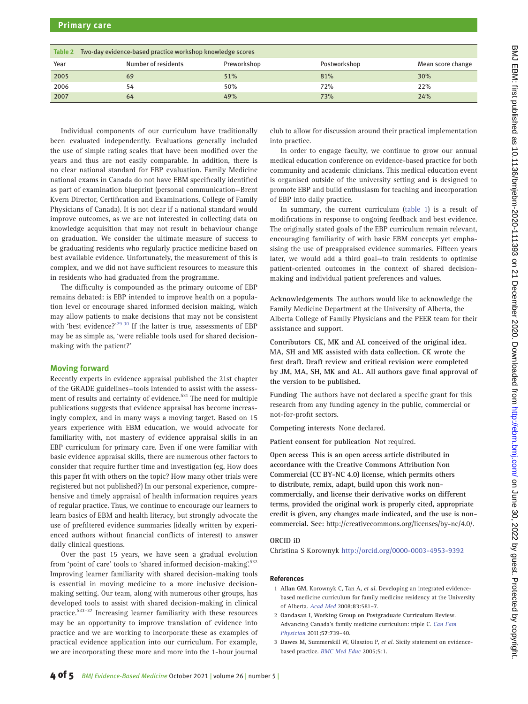<span id="page-3-3"></span>

| Two-day evidence-based practice workshop knowledge scores<br>Table 2 |                     |             |              |                   |  |
|----------------------------------------------------------------------|---------------------|-------------|--------------|-------------------|--|
| Year                                                                 | Number of residents | Preworkshop | Postworkshop | Mean score change |  |
| 2005                                                                 | 69                  | 51%         | 81%          | 30%               |  |
| 2006                                                                 | 54                  | 50%         | 72%          | 22%               |  |
| 2007                                                                 | 64                  | 49%         | 73%          | 24%               |  |

Individual components of our curriculum have traditionally been evaluated independently. Evaluations generally included the use of simple rating scales that have been modified over the years and thus are not easily comparable. In addition, there is no clear national standard for EBP evaluation. Family Medicine national exams in Canada do not have EBM specifically identified as part of examination blueprint (personal communication—Brent Kvern Director, Certification and Examinations, College of Family Physicians of Canada). It is not clear if a national standard would improve outcomes, as we are not interested in collecting data on knowledge acquisition that may not result in behaviour change on graduation. We consider the ultimate measure of success to be graduating residents who regularly practice medicine based on best available evidence. Unfortunately, the measurement of this is complex, and we did not have sufficient resources to measure this in residents who had graduated from the programme.

The difficulty is compounded as the primary outcome of EBP remains debated: is EBP intended to improve health on a population level or encourage shared informed decision making, which may allow patients to make decisions that may not be consistent with 'best evidence?'<sup>29 30</sup> If the latter is true, assessments of EBP may be as simple as, 'were reliable tools used for shared decisionmaking with the patient?'

#### **Moving forward**

Recently experts in evidence appraisal published the 21st chapter of the GRADE guidelines—tools intended to assist with the assessment of results and certainty of evidence.<sup>S31</sup> The need for multiple publications suggests that evidence appraisal has become increasingly complex, and in many ways a moving target. Based on 15 years experience with EBM education, we would advocate for familiarity with, not mastery of evidence appraisal skills in an EBP curriculum for primary care. Even if one were familiar with basic evidence appraisal skills, there are numerous other factors to consider that require further time and investigation (eg, How does this paper fit with others on the topic? How many other trials were registered but not published?) In our personal experience, comprehensive and timely appraisal of health information requires years of regular practice. Thus, we continue to encourage our learners to learn basics of EBM and health literacy, but strongly advocate the use of prefiltered evidence summaries (ideally written by experienced authors without financial conflicts of interest) to answer daily clinical questions.

Over the past 15 years, we have seen a gradual evolution from 'point of care' tools to 'shared informed decision-making'. S32 Improving learner familiarity with shared decision-making tools is essential in moving medicine to a more inclusive decisionmaking setting. Our team, along with numerous other groups, has developed tools to assist with shared decision-making in clinical practice.<sup>S33-37</sup> Increasing learner familiarity with these resources may be an opportunity to improve translation of evidence into practice and we are working to incorporate these as examples of practical evidence application into our curriculum. For example, we are incorporating these more and more into the 1-hour journal

club to allow for discussion around their practical implementation into practice.

In order to engage faculty, we continue to grow our annual medical education conference on evidence-based practice for both community and academic clinicians. This medical education event is organised outside of the university setting and is designed to promote EBP and build enthusiasm for teaching and incorporation of EBP into daily practice.

In summary, the current curriculum ([table 1\)](#page-1-0) is a result of modifications in response to ongoing feedback and best evidence. The originally stated goals of the EBP curriculum remain relevant, encouraging familiarity of with basic EBM concepts yet emphasising the use of preappraised evidence summaries. Fifteen years later, we would add a third goal—to train residents to optimise patient-oriented outcomes in the context of shared decisionmaking and individual patient preferences and values.

**Acknowledgements** The authors would like to acknowledge the Family Medicine Department at the University of Alberta, the Alberta College of Family Physicians and the PEER team for their assistance and support.

**Contributors CK, MK and AL conceived of the original idea. MA, SH and MK assisted with data collection. CK wrote the first draft. Draft review and critical revision were completed by JM, MA, SH, MK and AL. All authors gave final approval of the version to be published.**

**Funding** The authors have not declared a specific grant for this research from any funding agency in the public, commercial or not-for-profit sectors.

**Competing interests** None declared.

**Patient consent for publication** Not required.

**Open access This is an open access article distributed in accordance with the Creative Commons Attribution Non Commercial (CC BY-NC 4.0) license, which permits others to distribute, remix, adapt, build upon this work noncommercially, and license their derivative works on different terms, provided the original work is properly cited, appropriate credit is given, any changes made indicated, and the use is noncommercial. See:** <http://creativecommons.org/licenses/by-nc/4.0/>.

#### **ORCID iD**

Christina S Korownyk<http://orcid.org/0000-0003-4953-9392>

#### **References**

- <span id="page-3-0"></span>1 **Allan GM**, Korownyk C, Tan A, *et al*. Developing an integrated evidencebased medicine curriculum for family medicine residency at the University of Alberta. *[Acad Med](http://dx.doi.org/10.1097/ACM.0b013e3181723a5c)* 2008;**83**:581–7.
- <span id="page-3-1"></span>2 **Oandasan I**, **Working Group on Postgraduate Curriculum Review**. Advancing Canada's family medicine curriculum: triple C. *[Can Fam](http://www.ncbi.nlm.nih.gov/pubmed/21673223)  [Physician](http://www.ncbi.nlm.nih.gov/pubmed/21673223)* 2011;**57**:739–40.
- <span id="page-3-2"></span>3 **Dawes M**, Summerskill W, Glasziou P, *et al*. Sicily statement on evidencebased practice. *[BMC Med Educ](http://dx.doi.org/10.1186/1472-6920-5-1)* 2005;**5**:1.